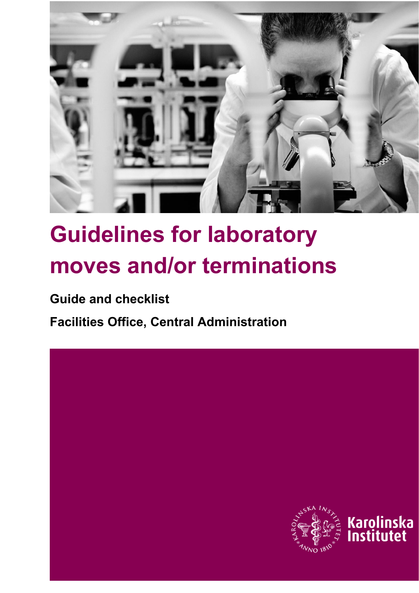

# **Guidelines for laboratory moves and/or terminations**

**Guide and checklist**

**Facilities Office, Central Administration**

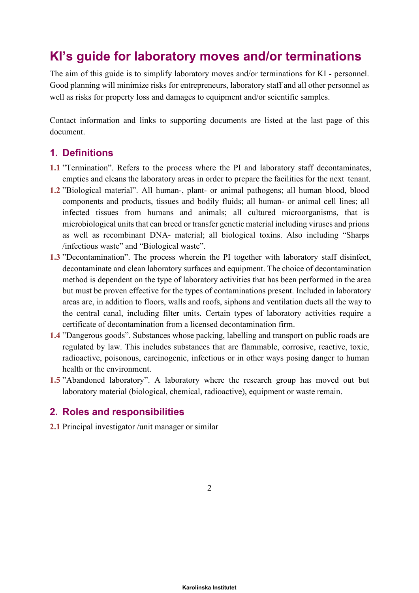# **KI's guide for laboratory moves and/or terminations**

The aim of this guide is to simplify laboratory moves and/or terminations for KI - personnel. Good planning will minimize risks for entrepreneurs, laboratory staff and all other personnel as well as risks for property loss and damages to equipment and/or scientific samples.

Contact information and links to supporting documents are listed at the last page of this document.

## **1. Definitions**

- **1.1** "Termination". Refers to the process where the PI and laboratory staff decontaminates, empties and cleans the laboratory areas in order to prepare the facilities for the next tenant.
- **1.2** "Biological material". All human-, plant- or animal pathogens; all human blood, blood components and products, tissues and bodily fluids; all human- or animal cell lines; all infected tissues from humans and animals; all cultured microorganisms, that is microbiological units that can breed or transfer genetic material including viruses and prions as well as recombinant DNA- material; all biological toxins. Also including "Sharps /infectious waste" and "Biological waste".
- **1.3** "Decontamination". The process wherein the PI together with laboratory staff disinfect, decontaminate and clean laboratory surfaces and equipment. The choice of decontamination method is dependent on the type of laboratory activities that has been performed in the area but must be proven effective for the types of contaminations present. Included in laboratory areas are, in addition to floors, walls and roofs, siphons and ventilation ducts all the way to the central canal, including filter units. Certain types of laboratory activities require a certificate of decontamination from a licensed decontamination firm.
- **1.4** "Dangerous goods". Substances whose packing, labelling and transport on public roads are regulated by law. This includes substances that are flammable, corrosive, reactive, toxic, radioactive, poisonous, carcinogenic, infectious or in other ways posing danger to human health or the environment.
- **1.5** "Abandoned laboratory". A laboratory where the research group has moved out but laboratory material (biological, chemical, radioactive), equipment or waste remain.

# **2. Roles and responsibilities**

**2.1** Principal investigator /unit manager or similar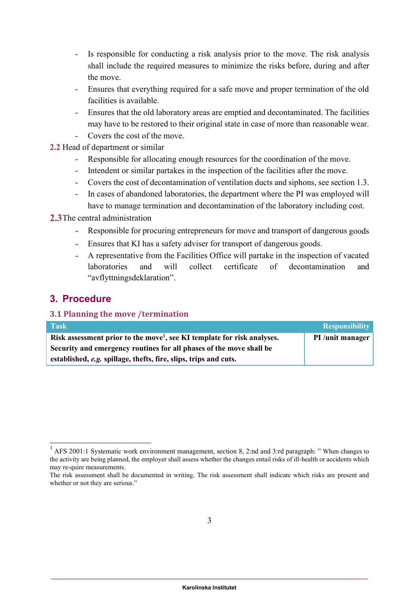- Is responsible for conducting a risk analysis prior to the move. The risk analysis shall include the required measures to minimize the risks before, during and after the move.
- Ensures that everything required for a safe move and proper termination of the old facilities is available.
- Ensures that the old laboratory areas are emptied and decontaminated. The facilities may have to be restored to their original state in case of more than reasonable wear.
- Covers the cost of the move.
- **2.2** Head of department or similar
	- Responsible for allocating enough resources for the coordination of the move.
	- Intendent or similar partakes in the inspection of the facilities after the move.
	- Covers the cost of decontamination of ventilation ducts and siphons, see section 1.3.
	- In cases of abandoned laboratories, the department where the PI was employed will have to manage termination and decontamination of the laboratory including cost.

#### **2.3**The central administration

- Responsible for procuring entrepreneurs for move and transport of dangerous goods
- Ensures that KI has a safety adviser for transport of dangerous goods.
- A representative from the Facilities Office will partake in the inspection of vacated laboratories and will collect certificate of decontamination and "avflyttningsdeklaration".

## **3. Procedure**

#### **3.1 Planning the move /termination**

| <b>Task</b>                                                                         | <b>Responsibility</b> |
|-------------------------------------------------------------------------------------|-----------------------|
| Risk assessment prior to the move <sup>1</sup> , see KI template for risk analyses. | PI /unit manager      |
| Security and emergency routines for all phases of the move shall be                 |                       |
| established, e.g. spillage, thefts, fire, slips, trips and cuts.                    |                       |

 $1$  AFS 2001:1 Systematic work environment management, section 8, 2:nd and 3:rd paragraph: "When changes to the activity are being planned, the employer shall assess whether the changes entail risks of ill-health or accidents which may re-quire measurements.

The risk assessment shall be documented in writing. The risk assessment shall indicate which risks are present and whether or not they are serious."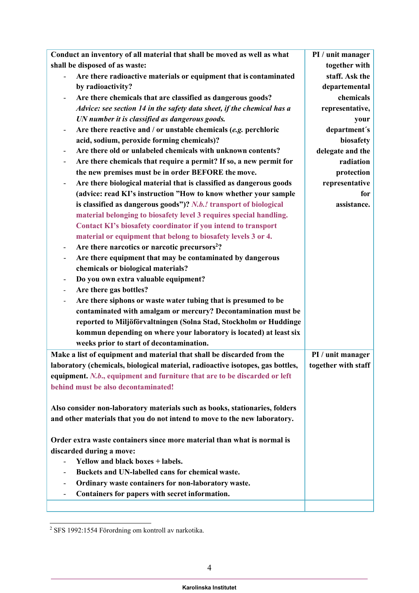| Conduct an inventory of all material that shall be moved as well as what                      | PI / unit manager   |
|-----------------------------------------------------------------------------------------------|---------------------|
| shall be disposed of as waste:                                                                | together with       |
| Are there radioactive materials or equipment that is contaminated                             | staff. Ask the      |
| by radioactivity?                                                                             | departemental       |
| Are there chemicals that are classified as dangerous goods?                                   | chemicals           |
| Advice: see section 14 in the safety data sheet, if the chemical has a                        | representative,     |
| UN number it is classified as dangerous goods.                                                | your                |
| Are there reactive and / or unstable chemicals $(e.g.$ perchloric<br>$\overline{\phantom{a}}$ | department's        |
| acid, sodium, peroxide forming chemicals)?                                                    | biosafety           |
| Are there old or unlabeled chemicals with unknown contents?<br>$\overline{\phantom{a}}$       | delegate and the    |
| Are there chemicals that require a permit? If so, a new permit for                            | radiation           |
| the new premises must be in order BEFORE the move.                                            | protection          |
| Are there biological material that is classified as dangerous goods                           | representative      |
| (advice: read KI's instruction "How to know whether your sample                               | for                 |
| is classified as dangerous goods")? N.b.! transport of biological                             | assistance.         |
| material belonging to biosafety level 3 requires special handling.                            |                     |
| Contact KI's biosafety coordinator if you intend to transport                                 |                     |
| material or equipment that belong to biosafety levels 3 or 4.                                 |                     |
| Are there narcotics or narcotic precursors <sup>2</sup> ?                                     |                     |
| Are there equipment that may be contaminated by dangerous                                     |                     |
| chemicals or biological materials?                                                            |                     |
| Do you own extra valuable equipment?                                                          |                     |
| Are there gas bottles?                                                                        |                     |
| Are there siphons or waste water tubing that is presumed to be                                |                     |
| contaminated with amalgam or mercury? Decontamination must be                                 |                     |
| reported to Miljöförvaltningen (Solna Stad, Stockholm or Huddinge                             |                     |
| kommun depending on where your laboratory is located) at least six                            |                     |
| weeks prior to start of decontamination.                                                      |                     |
| Make a list of equipment and material that shall be discarded from the                        | PI / unit manager   |
| laboratory (chemicals, biological material, radioactive isotopes, gas bottles,                | together with staff |
| equipment. N.b., equipment and furniture that are to be discarded or left                     |                     |
| behind must be also decontaminated!                                                           |                     |
|                                                                                               |                     |
| Also consider non-laboratory materials such as books, stationaries, folders                   |                     |
| and other materials that you do not intend to move to the new laboratory.                     |                     |
|                                                                                               |                     |
| Order extra waste containers since more material than what is normal is                       |                     |
| discarded during a move:                                                                      |                     |
| Yellow and black boxes + labels.                                                              |                     |
| Buckets and UN-labelled cans for chemical waste.                                              |                     |
| Ordinary waste containers for non-laboratory waste.<br>$\overline{\phantom{a}}$               |                     |
| Containers for papers with secret information.<br>$\overline{\phantom{a}}$                    |                     |
|                                                                                               |                     |

 $^2$  SFS 1992:1554 Förordning om kontroll av narkotika.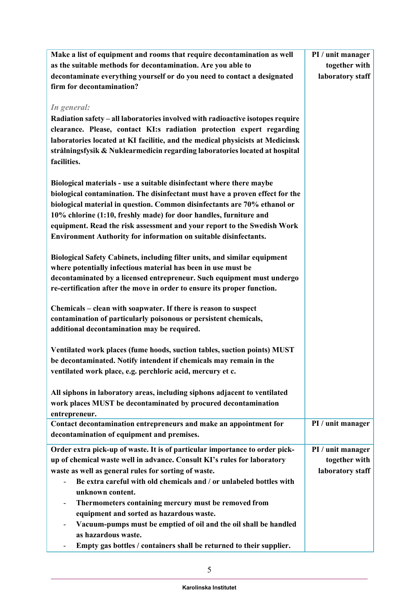| Make a list of equipment and rooms that require decontamination as well                                                                 | PI / unit manager |
|-----------------------------------------------------------------------------------------------------------------------------------------|-------------------|
| as the suitable methods for decontamination. Are you able to                                                                            | together with     |
| decontaminate everything yourself or do you need to contact a designated                                                                | laboratory staff  |
| firm for decontamination?                                                                                                               |                   |
|                                                                                                                                         |                   |
| In general:                                                                                                                             |                   |
| Radiation safety – all laboratories involved with radioactive isotopes require                                                          |                   |
| clearance. Please, contact KI:s radiation protection expert regarding                                                                   |                   |
| laboratories located at KI facilitie, and the medical physicists at Medicinsk                                                           |                   |
| strålningsfysik & Nuklearmedicin regarding laboratories located at hospital                                                             |                   |
| facilities.                                                                                                                             |                   |
|                                                                                                                                         |                   |
| Biological materials - use a suitable disinfectant where there maybe                                                                    |                   |
| biological contamination. The disinfectant must have a proven effect for the                                                            |                   |
| biological material in question. Common disinfectants are 70% ethanol or                                                                |                   |
| 10% chlorine (1:10, freshly made) for door handles, furniture and                                                                       |                   |
| equipment. Read the risk assessment and your report to the Swedish Work                                                                 |                   |
| <b>Environment Authority for information on suitable disinfectants.</b>                                                                 |                   |
|                                                                                                                                         |                   |
| Biological Safety Cabinets, including filter units, and similar equipment                                                               |                   |
| where potentially infectious material has been in use must be<br>decontaminated by a licensed entrepreneur. Such equipment must undergo |                   |
| re-certification after the move in order to ensure its proper function.                                                                 |                   |
|                                                                                                                                         |                   |
| Chemicals – clean with soapwater. If there is reason to suspect                                                                         |                   |
| contamination of particularly poisonous or persistent chemicals,                                                                        |                   |
| additional decontamination may be required.                                                                                             |                   |
|                                                                                                                                         |                   |
| Ventilated work places (fume hoods, suction tables, suction points) MUST                                                                |                   |
| be decontaminated. Notify intendent if chemicals may remain in the                                                                      |                   |
| ventilated work place, e.g. perchloric acid, mercury et c.                                                                              |                   |
| All siphons in laboratory areas, including siphons adjacent to ventilated                                                               |                   |
| work places MUST be decontaminated by procured decontamination                                                                          |                   |
| entrepreneur.                                                                                                                           |                   |
| Contact decontamination entrepreneurs and make an appointment for                                                                       | PI / unit manager |
| decontamination of equipment and premises.                                                                                              |                   |
| Order extra pick-up of waste. It is of particular importance to order pick-                                                             | PI / unit manager |
| up of chemical waste well in advance. Consult KI's rules for laboratory                                                                 | together with     |
| waste as well as general rules for sorting of waste.                                                                                    | laboratory staff  |
| Be extra careful with old chemicals and / or unlabeled bottles with                                                                     |                   |
| unknown content.                                                                                                                        |                   |
| Thermometers containing mercury must be removed from                                                                                    |                   |
| equipment and sorted as hazardous waste.                                                                                                |                   |
| Vacuum-pumps must be emptied of oil and the oil shall be handled                                                                        |                   |
| as hazardous waste.                                                                                                                     |                   |
| Empty gas bottles / containers shall be returned to their supplier.                                                                     |                   |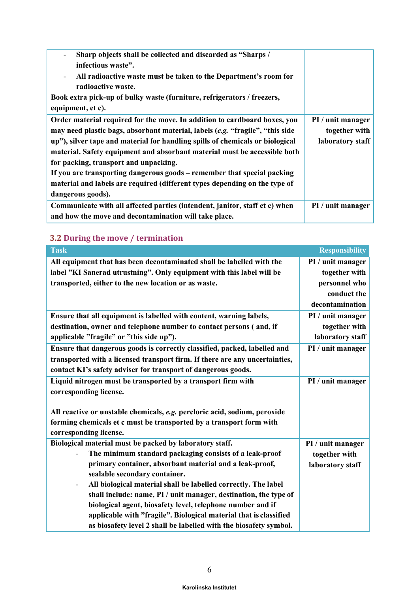| Sharp objects shall be collected and discarded as "Sharps /                                  |                   |
|----------------------------------------------------------------------------------------------|-------------------|
| infectious waste".                                                                           |                   |
| All radioactive waste must be taken to the Department's room for<br>$\overline{\phantom{a}}$ |                   |
| radioactive waste.                                                                           |                   |
| Book extra pick-up of bulky waste (furniture, refrigerators / freezers,                      |                   |
| equipment, et c).                                                                            |                   |
| Order material required for the move. In addition to cardboard boxes, you                    | PI / unit manager |
| may need plastic bags, absorbant material, labels (e.g. "fragile", "this side                | together with     |
| up"), silver tape and material for handling spills of chemicals or biological                | laboratory staff  |
| material. Safety equipment and absorbant material must be accessible both                    |                   |
| for packing, transport and unpacking.                                                        |                   |
| If you are transporting dangerous goods – remember that special packing                      |                   |
| material and labels are required (different types depending on the type of                   |                   |
| dangerous goods).                                                                            |                   |
| Communicate with all affected parties (intendent, janitor, staff et c) when                  | PI / unit manager |
| and how the move and decontamination will take place.                                        |                   |

# **3.2 During the move / termination**

| <b>Task</b>                                                                                | <b>Responsibility</b> |
|--------------------------------------------------------------------------------------------|-----------------------|
| All equipment that has been decontaminated shall be labelled with the                      | PI / unit manager     |
| label "KI Sanerad utrustning". Only equipment with this label will be                      | together with         |
| transported, either to the new location or as waste.                                       | personnel who         |
|                                                                                            | conduct the           |
|                                                                                            | decontamination       |
| Ensure that all equipment is labelled with content, warning labels,                        | PI / unit manager     |
| destination, owner and telephone number to contact persons (and, if                        | together with         |
| applicable "fragile" or "this side up").                                                   | laboratory staff      |
| Ensure that dangerous goods is correctly classified, packed, labelled and                  | PI / unit manager     |
| transported with a licensed transport firm. If there are any uncertainties,                |                       |
| contact KI's safety adviser for transport of dangerous goods.                              |                       |
| Liquid nitrogen must be transported by a transport firm with                               | PI / unit manager     |
| corresponding license.                                                                     |                       |
|                                                                                            |                       |
| All reactive or unstable chemicals, e.g. percloric acid, sodium, peroxide                  |                       |
| forming chemicals et c must be transported by a transport form with                        |                       |
| corresponding license.                                                                     |                       |
| Biological material must be packed by laboratory staff.                                    | PI / unit manager     |
| The minimum standard packaging consists of a leak-proof                                    | together with         |
| primary container, absorbant material and a leak-proof,                                    | laboratory staff      |
| sealable secondary container.                                                              |                       |
| All biological material shall be labelled correctly. The label<br>$\overline{\phantom{a}}$ |                       |
| shall include: name, PI / unit manager, destination, the type of                           |                       |
| biological agent, biosafety level, telephone number and if                                 |                       |
| applicable with "fragile". Biological material that is classified                          |                       |
| as biosafety level 2 shall be labelled with the biosafety symbol.                          |                       |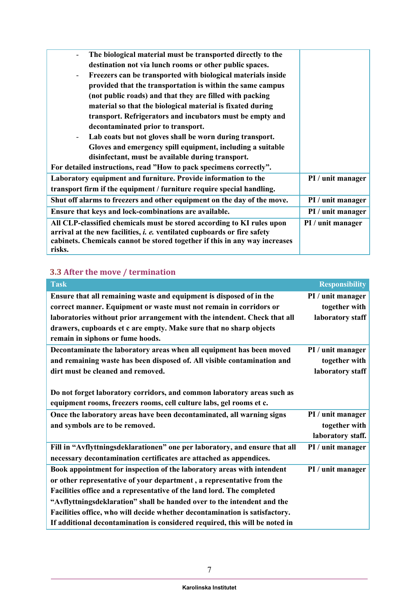| The biological material must be transported directly to the                          |                   |
|--------------------------------------------------------------------------------------|-------------------|
|                                                                                      |                   |
| destination not via lunch rooms or other public spaces.                              |                   |
| Freezers can be transported with biological materials inside                         |                   |
| provided that the transportation is within the same campus                           |                   |
| (not public roads) and that they are filled with packing                             |                   |
| material so that the biological material is fixated during                           |                   |
| transport. Refrigerators and incubators must be empty and                            |                   |
| decontaminated prior to transport.                                                   |                   |
| Lab coats but not gloves shall be worn during transport.<br>$\overline{\phantom{a}}$ |                   |
| Gloves and emergency spill equipment, including a suitable                           |                   |
| disinfectant, must be available during transport.                                    |                   |
| For detailed instructions, read "How to pack specimens correctly".                   |                   |
| Laboratory equipment and furniture. Provide information to the                       | PI / unit manager |
| transport firm if the equipment / furniture require special handling.                |                   |
| Shut off alarms to freezers and other equipment on the day of the move.              | PI / unit manager |
| Ensure that keys and lock-combinations are available.                                | PI / unit manager |
| All CLP-classified chemicals must be stored according to KI rules upon               | PI / unit manager |
| arrival at the new facilities, <i>i. e.</i> ventilated cupboards or fire safety      |                   |
| cabinets. Chemicals cannot be stored together if this in any way increases           |                   |
| risks.                                                                               |                   |
|                                                                                      |                   |

# **3.3 After the move / termination**

| <b>Task</b>                                                                 | <b>Responsibility</b> |
|-----------------------------------------------------------------------------|-----------------------|
| Ensure that all remaining waste and equipment is disposed of in the         | PI / unit manager     |
| correct manner. Equipment or waste must not remain in corridors or          | together with         |
| laboratories without prior arrangement with the intendent. Check that all   | laboratory staff      |
| drawers, cupboards et c are empty. Make sure that no sharp objects          |                       |
| remain in siphons or fume hoods.                                            |                       |
| Decontaminate the laboratory areas when all equipment has been moved        | PI / unit manager     |
| and remaining waste has been disposed of. All visible contamination and     | together with         |
| dirt must be cleaned and removed.                                           | laboratory staff      |
|                                                                             |                       |
| Do not forget laboratory corridors, and common laboratory areas such as     |                       |
| equipment rooms, freezers rooms, cell culture labs, gel rooms et c.         |                       |
| Once the laboratory areas have been decontaminated, all warning signs       | PI / unit manager     |
| and symbols are to be removed.                                              | together with         |
|                                                                             | laboratory staff.     |
| Fill in "Avflyttningsdeklarationen" one per laboratory, and ensure that all | PI / unit manager     |
| necessary decontamination certificates are attached as appendices.          |                       |
| Book appointment for inspection of the laboratory areas with intendent      | PI / unit manager     |
| or other representative of your department, a representative from the       |                       |
| Facilities office and a representative of the land lord. The completed      |                       |
| "Avflyttningsdeklaration" shall be handed over to the intendent and the     |                       |
| Facilities office, who will decide whether decontamination is satisfactory. |                       |
| If additional decontamination is considered required, this will be noted in |                       |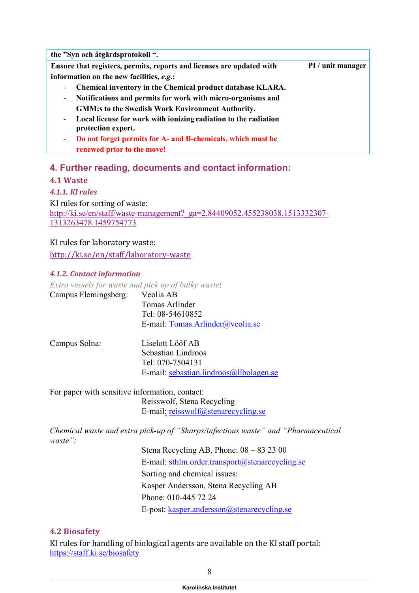| the "Syn och åtgärdsprotokoll".                                                                                   |                   |
|-------------------------------------------------------------------------------------------------------------------|-------------------|
| Ensure that registers, permits, reports and licenses are updated with                                             | PI / unit manager |
| information on the new facilities, e.g.:                                                                          |                   |
| Chemical inventory in the Chemical product database KLARA.<br>$\overline{\phantom{a}}$                            |                   |
| Notifications and permits for work with micro-organisms and<br>$\overline{\phantom{a}}$                           |                   |
| <b>GMM:s to the Swedish Work Environment Authority.</b>                                                           |                   |
| Local license for work with ionizing radiation to the radiation<br>$\overline{\phantom{a}}$<br>protection expert. |                   |
| Do not forget permits for A- and B-chemicals, which must be<br>٠                                                  |                   |
| renewed prior to the move!                                                                                        |                   |

## **4. Further reading, documents and contact information:**

#### **4.1 Waste**

*4.1.1. KI rules*

KI rules for sorting of waste: [http://ki.se/en/staff/waste-management?\\_ga=2.84409052.455238038.1513332307-](http://ki.se/en/staff/waste-management?_ga=2.84409052.455238038.1513332307-1313263478.1459754773) [1313263478.1459754773](http://ki.se/en/staff/waste-management?_ga=2.84409052.455238038.1513332307-1313263478.1459754773)

#### KI rules for laboratory waste:

<http://ki.se/en/staff/laboratory-waste>

#### *4.1.2. Contact information*

*Extra vessels for waste and pick up of bulky waste*: Campus Flemingsberg: Veolia AB Tomas Arlinder

Tel: 08-54610852 E-mail: [Tomas.Arlinder@veolia.se](mailto:Tomas.Arlinder@veolia.se)

| Campus Solna: | Liselott Lööf AB                        |
|---------------|-----------------------------------------|
|               | Sebastian Lindroos                      |
|               | Tel: 070-7504131                        |
|               | E-mail: sebastian.lindroos@llbolagen.se |

For paper with sensitive information, contact: Reisswolf, Stena Recycling E-mail: [reisswolf@stenarecycling.se](mailto:reisswolf@stenarecycling.se)

*Chemical waste and extra pick-up of "Sharps/infectious waste" and "Pharmaceutical waste":*

> Stena Recycling AB, Phone: 08 – 83 23 00 E-mail: [sthlm.order.transport@stenarecycling.se](mailto:sthlm.order.transport@stenarecycling.se) Sorting and chemical issues: Kasper Andersson, Stena Recycling AB Phone: 010-445 72 24 E-post: [kasper.andersson@stenarecycling.se](mailto:kasper.andersson@stenarecycling.se)

#### **4.2 Biosafety**

KI rules for handling of biological agents are available on the KI staff portal: <https://staff.ki.se/biosafety>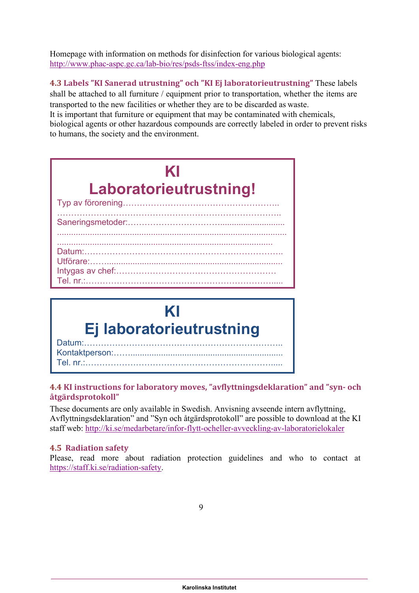Homepage with information on methods for disinfection for various biological agents: <http://www.phac-aspc.gc.ca/lab-bio/res/psds-ftss/index-eng.php>

**4.3 Labels "KI Sanerad utrustning" och "KI Ej laboratorieutrustning"** These labels shall be attached to all furniture / equipment prior to transportation, whether the items are transported to the new facilities or whether they are to be discarded as waste.

It is important that furniture or equipment that may be contaminated with chemicals, biological agents or other hazardous compounds are correctly labeled in order to prevent risks to humans, the society and the environment.

| KI                     |
|------------------------|
| Laboratorieutrustning! |
|                        |
|                        |
| Datum:                 |
| Utförare:              |
| Tel nr · · · · ·       |



#### **4.4 KI instructions for laboratory moves, "avflyttningsdeklaration" and "syn- och åtgärdsprotokoll"**

These documents are only available in Swedish. Anvisning avseende intern avflyttning, Avflyttningsdeklaration" and "Syn och åtgärdsprotokoll" are possible to download at the KI staff web:<http://ki.se/medarbetare/infor-flytt-ocheller-avveckling-av-laboratorielokaler>

## **4.5 Radiation safety**

Please, read more about radiation protection guidelines and who to contact at [https://staff.ki.se/radiation-safety.](https://staff.ki.se/radiation-safety)